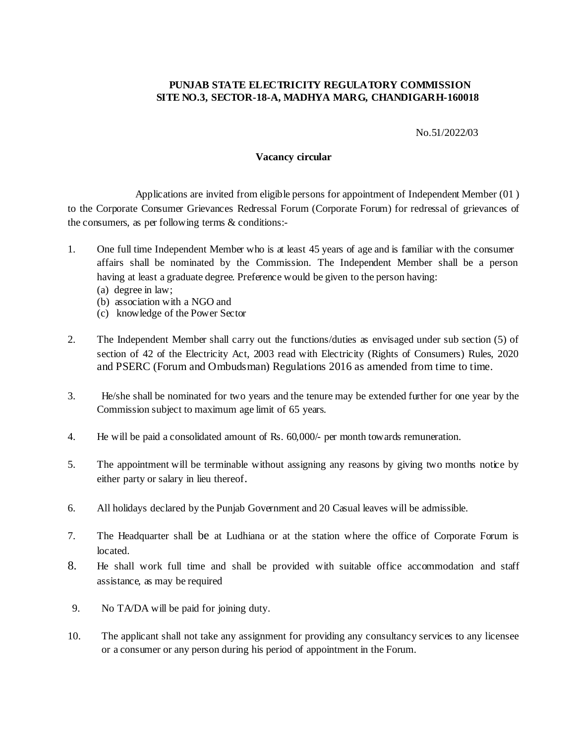## **PUNJAB STATE ELECTRICITY REGULATORY COMMISSION SITE NO.3, SECTOR-18-A, MADHYA MARG, CHANDIGARH-160018**

No.51/2022/03

## **Vacancy circular**

Applications are invited from eligible persons for appointment of Independent Member (01 ) to the Corporate Consumer Grievances Redressal Forum (Corporate Forum) for redressal of grievances of the consumers, as per following terms & conditions:-

- 1. One full time Independent Member who is at least 45 years of age and is familiar with the consumer affairs shall be nominated by the Commission. The Independent Member shall be a person having at least a graduate degree. Preference would be given to the person having: (a) degree in law;
	- (b) association with a NGO and
	- (c) knowledge of the Power Sector
- 2. The Independent Member shall carry out the functions/duties as envisaged under sub section (5) of section of 42 of the Electricity Act, 2003 read with Electricity (Rights of Consumers) Rules, 2020 and PSERC (Forum and Ombudsman) Regulations 2016 as amended from time to time.
- 3. He/she shall be nominated for two years and the tenure may be extended further for one year by the Commission subject to maximum age limit of 65 years.
- 4. He will be paid a consolidated amount of Rs. 60,000/- per month towards remuneration.
- 5. The appointment will be terminable without assigning any reasons by giving two months notice by either party or salary in lieu thereof.
- 6. All holidays declared by the Punjab Government and 20 Casual leaves will be admissible.
- 7. The Headquarter shall be at Ludhiana or at the station where the office of Corporate Forum is located.
- 8. He shall work full time and shall be provided with suitable office accommodation and staff assistance, as may be required
- 9. No TA/DA will be paid for joining duty.
- 10. The applicant shall not take any assignment for providing any consultancy services to any licensee or a consumer or any person during his period of appointment in the Forum.